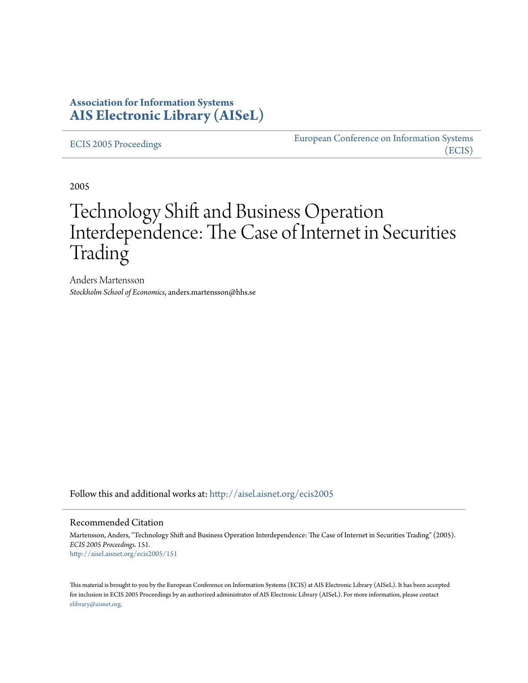### **Association for Information Systems [AIS Electronic Library \(AISeL\)](http://aisel.aisnet.org?utm_source=aisel.aisnet.org%2Fecis2005%2F151&utm_medium=PDF&utm_campaign=PDFCoverPages)**

[ECIS 2005 Proceedings](http://aisel.aisnet.org/ecis2005?utm_source=aisel.aisnet.org%2Fecis2005%2F151&utm_medium=PDF&utm_campaign=PDFCoverPages)

[European Conference on Information Systems](http://aisel.aisnet.org/ecis?utm_source=aisel.aisnet.org%2Fecis2005%2F151&utm_medium=PDF&utm_campaign=PDFCoverPages) [\(ECIS\)](http://aisel.aisnet.org/ecis?utm_source=aisel.aisnet.org%2Fecis2005%2F151&utm_medium=PDF&utm_campaign=PDFCoverPages)

2005

# Technology Shift and Business Operation Interdependence: The Case of Internet in Securities Trading

Anders Martensson *Stockholm School of Economics*, anders.martensson@hhs.se

Follow this and additional works at: [http://aisel.aisnet.org/ecis2005](http://aisel.aisnet.org/ecis2005?utm_source=aisel.aisnet.org%2Fecis2005%2F151&utm_medium=PDF&utm_campaign=PDFCoverPages)

#### Recommended Citation

Martensson, Anders, "Technology Shift and Business Operation Interdependence: The Case of Internet in Securities Trading" (2005). *ECIS 2005 Proceedings*. 151. [http://aisel.aisnet.org/ecis2005/151](http://aisel.aisnet.org/ecis2005/151?utm_source=aisel.aisnet.org%2Fecis2005%2F151&utm_medium=PDF&utm_campaign=PDFCoverPages)

This material is brought to you by the European Conference on Information Systems (ECIS) at AIS Electronic Library (AISeL). It has been accepted for inclusion in ECIS 2005 Proceedings by an authorized administrator of AIS Electronic Library (AISeL). For more information, please contact [elibrary@aisnet.org.](mailto:elibrary@aisnet.org%3E)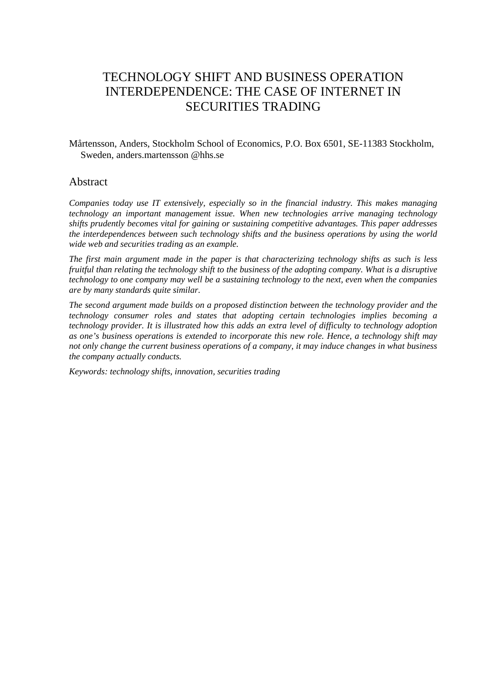## TECHNOLOGY SHIFT AND BUSINESS OPERATION INTERDEPENDENCE: THE CASE OF INTERNET IN SECURITIES TRADING

Mårtensson, Anders, Stockholm School of Economics, P.O. Box 6501, SE-11383 Stockholm, Sweden, anders.martensson @hhs.se

### Abstract

*Companies today use IT extensively, especially so in the financial industry. This makes managing technology an important management issue. When new technologies arrive managing technology shifts prudently becomes vital for gaining or sustaining competitive advantages. This paper addresses the interdependences between such technology shifts and the business operations by using the world wide web and securities trading as an example.* 

*The first main argument made in the paper is that characterizing technology shifts as such is less fruitful than relating the technology shift to the business of the adopting company. What is a disruptive technology to one company may well be a sustaining technology to the next, even when the companies are by many standards quite similar.* 

*The second argument made builds on a proposed distinction between the technology provider and the technology consumer roles and states that adopting certain technologies implies becoming a technology provider. It is illustrated how this adds an extra level of difficulty to technology adoption as one's business operations is extended to incorporate this new role. Hence, a technology shift may not only change the current business operations of a company, it may induce changes in what business the company actually conducts.* 

*Keywords: technology shifts, innovation, securities trading*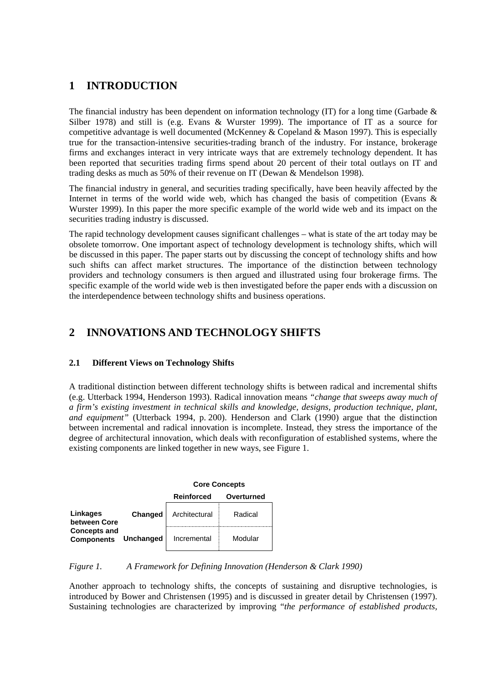### **1 INTRODUCTION**

The financial industry has been dependent on information technology (IT) for a long time (Garbade  $\&$ Silber 1978) and still is (e.g. Evans & Wurster 1999). The importance of IT as a source for competitive advantage is well documented (McKenney & Copeland & Mason 1997). This is especially true for the transaction-intensive securities-trading branch of the industry. For instance, brokerage firms and exchanges interact in very intricate ways that are extremely technology dependent. It has been reported that securities trading firms spend about 20 percent of their total outlays on IT and trading desks as much as 50% of their revenue on IT (Dewan & Mendelson 1998).

The financial industry in general, and securities trading specifically, have been heavily affected by the Internet in terms of the world wide web, which has changed the basis of competition (Evans  $\&$ Wurster 1999). In this paper the more specific example of the world wide web and its impact on the securities trading industry is discussed.

The rapid technology development causes significant challenges – what is state of the art today may be obsolete tomorrow. One important aspect of technology development is technology shifts, which will be discussed in this paper. The paper starts out by discussing the concept of technology shifts and how such shifts can affect market structures. The importance of the distinction between technology providers and technology consumers is then argued and illustrated using four brokerage firms. The specific example of the world wide web is then investigated before the paper ends with a discussion on the interdependence between technology shifts and business operations.

### **2 INNOVATIONS AND TECHNOLOGY SHIFTS**

### **2.1 Different Views on Technology Shifts**

A traditional distinction between different technology shifts is between radical and incremental shifts (e.g. Utterback 1994, Henderson 1993). Radical innovation means *"change that sweeps away much of a firm's existing investment in technical skills and knowledge, designs, production technique, plant, and equipment"* (Utterback 1994, p. 200). Henderson and Clark (1990) argue that the distinction between incremental and radical innovation is incomplete. Instead, they stress the importance of the degree of architectural innovation, which deals with reconfiguration of established systems, where the existing components are linked together in new ways, see Figure 1.

|                                          |           | <b>Core Concepts</b> |            |  |
|------------------------------------------|-----------|----------------------|------------|--|
|                                          |           | <b>Reinforced</b>    | Overturned |  |
| Linkages<br>between Core                 | Changed   | Architectural        | Radical    |  |
| <b>Concepts and</b><br><b>Components</b> | Unchanged | Incremental          | Modular    |  |

*Figure 1. A Framework for Defining Innovation (Henderson & Clark 1990)* 

Another approach to technology shifts, the concepts of sustaining and disruptive technologies, is introduced by Bower and Christensen (1995) and is discussed in greater detail by Christensen (1997). Sustaining technologies are characterized by improving "*the performance of established products,*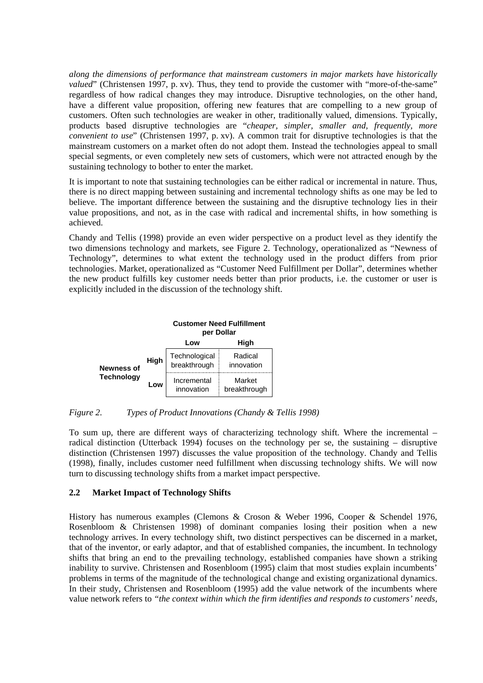*along the dimensions of performance that mainstream customers in major markets have historically valued*" (Christensen 1997, p. xv). Thus, they tend to provide the customer with "more-of-the-same" regardless of how radical changes they may introduce. Disruptive technologies, on the other hand, have a different value proposition, offering new features that are compelling to a new group of customers. Often such technologies are weaker in other, traditionally valued, dimensions. Typically, products based disruptive technologies are "*cheaper, simpler, smaller and, frequently, more convenient to use*" (Christensen 1997, p. xv). A common trait for disruptive technologies is that the mainstream customers on a market often do not adopt them. Instead the technologies appeal to small special segments, or even completely new sets of customers, which were not attracted enough by the sustaining technology to bother to enter the market.

It is important to note that sustaining technologies can be either radical or incremental in nature. Thus, there is no direct mapping between sustaining and incremental technology shifts as one may be led to believe. The important difference between the sustaining and the disruptive technology lies in their value propositions, and not, as in the case with radical and incremental shifts, in how something is achieved.

Chandy and Tellis (1998) provide an even wider perspective on a product level as they identify the two dimensions technology and markets, see Figure 2. Technology, operationalized as "Newness of Technology", determines to what extent the technology used in the product differs from prior technologies. Market, operationalized as "Customer Need Fulfillment per Dollar", determines whether the new product fulfills key customer needs better than prior products, i.e. the customer or user is explicitly included in the discussion of the technology shift.

|                                        |      | <b>Customer Need Fulfillment</b><br>per Dollar |                        |  |
|----------------------------------------|------|------------------------------------------------|------------------------|--|
|                                        |      | High<br>Low                                    |                        |  |
| <b>Newness of</b><br><b>Technology</b> | High | Technological<br>breakthrough                  | Radical<br>innovation  |  |
|                                        | Low  | Incremental<br>innovation                      | Market<br>breakthrough |  |

*Figure 2. Types of Product Innovations (Chandy & Tellis 1998)* 

To sum up, there are different ways of characterizing technology shift. Where the incremental – radical distinction (Utterback 1994) focuses on the technology per se, the sustaining – disruptive distinction (Christensen 1997) discusses the value proposition of the technology. Chandy and Tellis (1998), finally, includes customer need fulfillment when discussing technology shifts. We will now turn to discussing technology shifts from a market impact perspective.

### **2.2 Market Impact of Technology Shifts**

History has numerous examples (Clemons & Croson & Weber 1996, Cooper & Schendel 1976, Rosenbloom & Christensen 1998) of dominant companies losing their position when a new technology arrives. In every technology shift, two distinct perspectives can be discerned in a market, that of the inventor, or early adaptor, and that of established companies, the incumbent. In technology shifts that bring an end to the prevailing technology, established companies have shown a striking inability to survive. Christensen and Rosenbloom (1995) claim that most studies explain incumbents' problems in terms of the magnitude of the technological change and existing organizational dynamics. In their study, Christensen and Rosenbloom (1995) add the value network of the incumbents where value network refers to *"the context within which the firm identifies and responds to customers' needs,*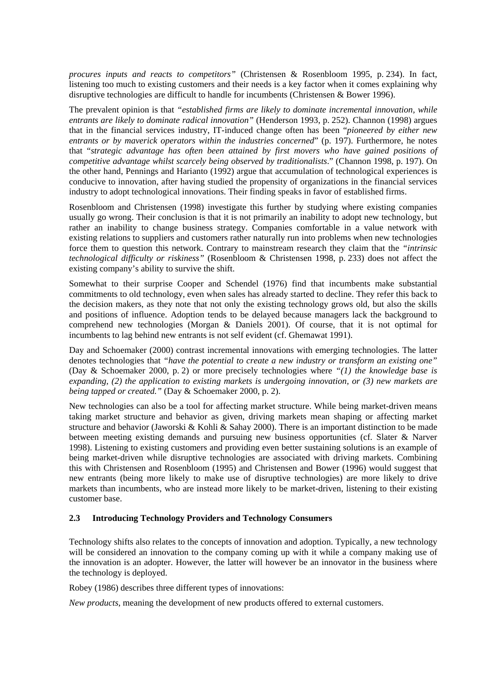*procures inputs and reacts to competitors"* (Christensen & Rosenbloom 1995, p. 234). In fact, listening too much to existing customers and their needs is a key factor when it comes explaining why disruptive technologies are difficult to handle for incumbents (Christensen & Bower 1996).

The prevalent opinion is that *"established firms are likely to dominate incremental innovation, while entrants are likely to dominate radical innovation"* (Henderson 1993, p. 252). Channon (1998) argues that in the financial services industry, IT-induced change often has been "*pioneered by either new entrants or by maverick operators within the industries concerned*" (p. 197). Furthermore, he notes that "*strategic advantage has often been attained by first movers who have gained positions of competitive advantage whilst scarcely being observed by traditionalists*." (Channon 1998, p. 197). On the other hand, Pennings and Harianto (1992) argue that accumulation of technological experiences is conducive to innovation, after having studied the propensity of organizations in the financial services industry to adopt technological innovations. Their finding speaks in favor of established firms.

Rosenbloom and Christensen (1998) investigate this further by studying where existing companies usually go wrong. Their conclusion is that it is not primarily an inability to adopt new technology, but rather an inability to change business strategy. Companies comfortable in a value network with existing relations to suppliers and customers rather naturally run into problems when new technologies force them to question this network. Contrary to mainstream research they claim that the *"intrinsic technological difficulty or riskiness"* (Rosenbloom & Christensen 1998, p. 233) does not affect the existing company's ability to survive the shift.

Somewhat to their surprise Cooper and Schendel (1976) find that incumbents make substantial commitments to old technology, even when sales has already started to decline. They refer this back to the decision makers, as they note that not only the existing technology grows old, but also the skills and positions of influence. Adoption tends to be delayed because managers lack the background to comprehend new technologies (Morgan & Daniels 2001). Of course, that it is not optimal for incumbents to lag behind new entrants is not self evident (cf. Ghemawat 1991).

Day and Schoemaker (2000) contrast incremental innovations with emerging technologies. The latter denotes technologies that *"have the potential to create a new industry or transform an existing one"* (Day & Schoemaker 2000, p. 2) or more precisely technologies where *"(1) the knowledge base is expanding, (2) the application to existing markets is undergoing innovation, or (3) new markets are being tapped or created."* (Day & Schoemaker 2000, p. 2).

New technologies can also be a tool for affecting market structure. While being market-driven means taking market structure and behavior as given, driving markets mean shaping or affecting market structure and behavior (Jaworski & Kohli & Sahay 2000). There is an important distinction to be made between meeting existing demands and pursuing new business opportunities (cf. Slater & Narver 1998). Listening to existing customers and providing even better sustaining solutions is an example of being market-driven while disruptive technologies are associated with driving markets. Combining this with Christensen and Rosenbloom (1995) and Christensen and Bower (1996) would suggest that new entrants (being more likely to make use of disruptive technologies) are more likely to drive markets than incumbents, who are instead more likely to be market-driven, listening to their existing customer base.

#### **2.3 Introducing Technology Providers and Technology Consumers**

Technology shifts also relates to the concepts of innovation and adoption. Typically, a new technology will be considered an innovation to the company coming up with it while a company making use of the innovation is an adopter. However, the latter will however be an innovator in the business where the technology is deployed.

Robey (1986) describes three different types of innovations:

*New products*, meaning the development of new products offered to external customers.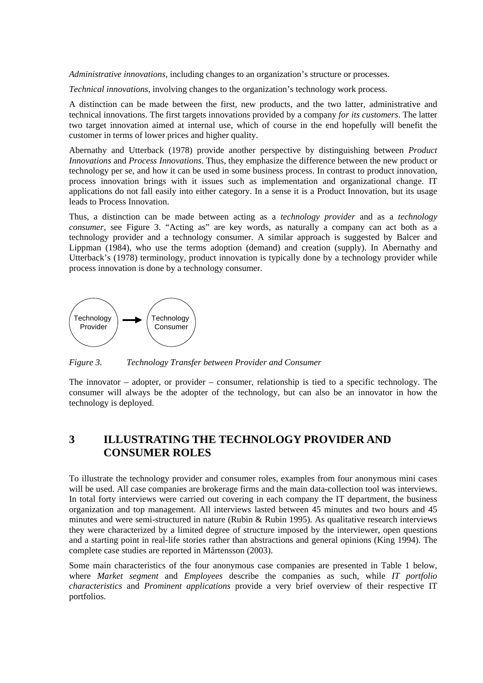*Administrative innovations*, including changes to an organization's structure or processes.

*Technical innovations*, involving changes to the organization's technology work process.

A distinction can be made between the first, new products, and the two latter, administrative and technical innovations. The first targets innovations provided by a company *for its customers*. The latter two target innovation aimed at internal use, which of course in the end hopefully will benefit the customer in terms of lower prices and higher quality.

Abernathy and Utterback (1978) provide another perspective by distinguishing between *Product Innovations* and *Process Innovations*. Thus, they emphasize the difference between the new product or technology per se, and how it can be used in some business process. In contrast to product innovation, process innovation brings with it issues such as implementation and organizational change. IT applications do not fall easily into either category. In a sense it is a Product Innovation, but its usage leads to Process Innovation.

Thus, a distinction can be made between acting as a *technology provider* and as a *technology consumer*, see Figure 3. "Acting as" are key words, as naturally a company can act both as a technology provider and a technology consumer. A similar approach is suggested by Balcer and Lippman (1984), who use the terms adoption (demand) and creation (supply). In Abernathy and Utterback's (1978) terminology, product innovation is typically done by a technology provider while process innovation is done by a technology consumer.



*Figure 3. Technology Transfer between Provider and Consumer* 

The innovator – adopter, or provider – consumer, relationship is tied to a specific technology. The consumer will always be the adopter of the technology, but can also be an innovator in how the technology is deployed.

### **3 ILLUSTRATING THE TECHNOLOGY PROVIDER AND CONSUMER ROLES**

To illustrate the technology provider and consumer roles, examples from four anonymous mini cases will be used. All case companies are brokerage firms and the main data-collection tool was interviews. In total forty interviews were carried out covering in each company the IT department, the business organization and top management. All interviews lasted between 45 minutes and two hours and 45 minutes and were semi-structured in nature (Rubin & Rubin 1995). As qualitative research interviews they were characterized by a limited degree of structure imposed by the interviewer, open questions and a starting point in real-life stories rather than abstractions and general opinions (King 1994). The complete case studies are reported in Mårtensson (2003).

Some main characteristics of the four anonymous case companies are presented in Table 1 below, where *Market segment* and *Employees* describe the companies as such, while *IT portfolio characteristics* and *Prominent applications* provide a very brief overview of their respective IT portfolios.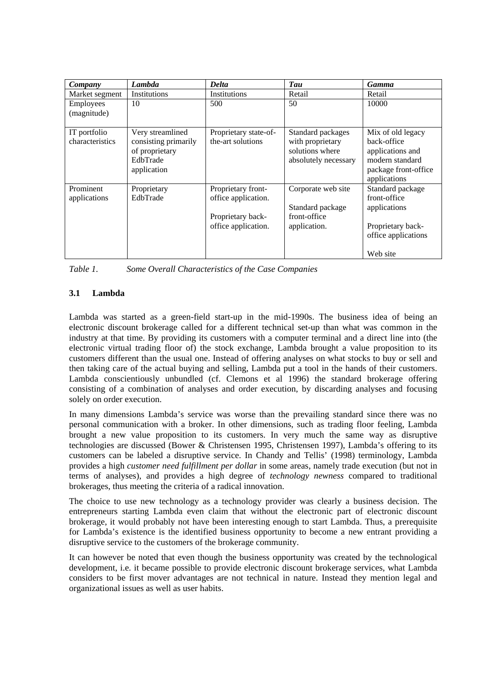| Company                         | Lambda                                                                                | <b>Delta</b>                                                                          | Tau                                                                              | <b>Gamma</b>                                                                                                    |
|---------------------------------|---------------------------------------------------------------------------------------|---------------------------------------------------------------------------------------|----------------------------------------------------------------------------------|-----------------------------------------------------------------------------------------------------------------|
| Market segment                  | Institutions                                                                          | Institutions                                                                          | Retail                                                                           | Retail                                                                                                          |
| Employees<br>(magnitude)        | 10                                                                                    | 500                                                                                   | 50                                                                               | 10000                                                                                                           |
| IT portfolio<br>characteristics | Very streamlined<br>consisting primarily<br>of proprietary<br>EdbTrade<br>application | Proprietary state-of-<br>the-art solutions                                            | Standard packages<br>with proprietary<br>solutions where<br>absolutely necessary | Mix of old legacy<br>back-office<br>applications and<br>modern standard<br>package front-office<br>applications |
| Prominent<br>applications       | Proprietary<br>EdbTrade                                                               | Proprietary front-<br>office application.<br>Proprietary back-<br>office application. | Corporate web site<br>Standard package<br>front-office<br>application.           | Standard package<br>front-office<br>applications<br>Proprietary back-<br>office applications<br>Web site        |

| Table 1. | Some Overall Characteristics of the Case Companies |  |  |
|----------|----------------------------------------------------|--|--|
|          |                                                    |  |  |

### **3.1 Lambda**

Lambda was started as a green-field start-up in the mid-1990s. The business idea of being an electronic discount brokerage called for a different technical set-up than what was common in the industry at that time. By providing its customers with a computer terminal and a direct line into (the electronic virtual trading floor of) the stock exchange, Lambda brought a value proposition to its customers different than the usual one. Instead of offering analyses on what stocks to buy or sell and then taking care of the actual buying and selling, Lambda put a tool in the hands of their customers. Lambda conscientiously unbundled (cf. Clemons et al 1996) the standard brokerage offering consisting of a combination of analyses and order execution, by discarding analyses and focusing solely on order execution.

In many dimensions Lambda's service was worse than the prevailing standard since there was no personal communication with a broker. In other dimensions, such as trading floor feeling, Lambda brought a new value proposition to its customers. In very much the same way as disruptive technologies are discussed (Bower & Christensen 1995, Christensen 1997), Lambda's offering to its customers can be labeled a disruptive service. In Chandy and Tellis' (1998) terminology, Lambda provides a high *customer need fulfillment per dollar* in some areas, namely trade execution (but not in terms of analyses), and provides a high degree of *technology newness* compared to traditional brokerages, thus meeting the criteria of a radical innovation.

The choice to use new technology as a technology provider was clearly a business decision. The entrepreneurs starting Lambda even claim that without the electronic part of electronic discount brokerage, it would probably not have been interesting enough to start Lambda. Thus, a prerequisite for Lambda's existence is the identified business opportunity to become a new entrant providing a disruptive service to the customers of the brokerage community.

It can however be noted that even though the business opportunity was created by the technological development, i.e. it became possible to provide electronic discount brokerage services, what Lambda considers to be first mover advantages are not technical in nature. Instead they mention legal and organizational issues as well as user habits.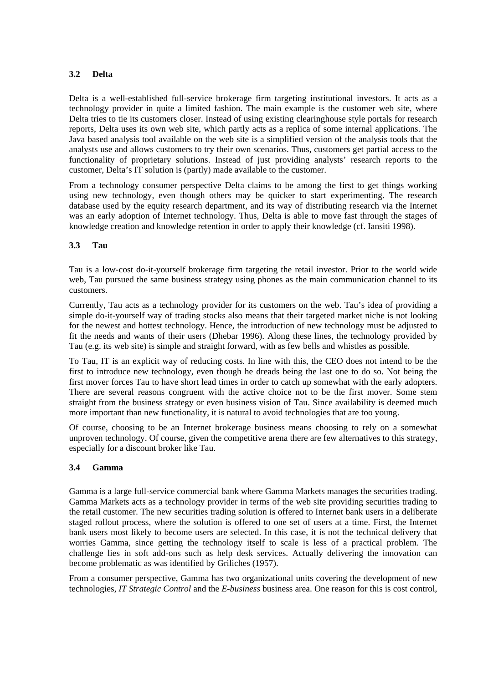#### **3.2 Delta**

Delta is a well-established full-service brokerage firm targeting institutional investors. It acts as a technology provider in quite a limited fashion. The main example is the customer web site, where Delta tries to tie its customers closer. Instead of using existing clearinghouse style portals for research reports, Delta uses its own web site, which partly acts as a replica of some internal applications. The Java based analysis tool available on the web site is a simplified version of the analysis tools that the analysts use and allows customers to try their own scenarios. Thus, customers get partial access to the functionality of proprietary solutions. Instead of just providing analysts' research reports to the customer, Delta's IT solution is (partly) made available to the customer.

From a technology consumer perspective Delta claims to be among the first to get things working using new technology, even though others may be quicker to start experimenting. The research database used by the equity research department, and its way of distributing research via the Internet was an early adoption of Internet technology. Thus, Delta is able to move fast through the stages of knowledge creation and knowledge retention in order to apply their knowledge (cf. Iansiti 1998).

#### **3.3 Tau**

Tau is a low-cost do-it-yourself brokerage firm targeting the retail investor. Prior to the world wide web, Tau pursued the same business strategy using phones as the main communication channel to its customers.

Currently, Tau acts as a technology provider for its customers on the web. Tau's idea of providing a simple do-it-yourself way of trading stocks also means that their targeted market niche is not looking for the newest and hottest technology. Hence, the introduction of new technology must be adjusted to fit the needs and wants of their users (Dhebar 1996). Along these lines, the technology provided by Tau (e.g. its web site) is simple and straight forward, with as few bells and whistles as possible.

To Tau, IT is an explicit way of reducing costs. In line with this, the CEO does not intend to be the first to introduce new technology, even though he dreads being the last one to do so. Not being the first mover forces Tau to have short lead times in order to catch up somewhat with the early adopters. There are several reasons congruent with the active choice not to be the first mover. Some stem straight from the business strategy or even business vision of Tau. Since availability is deemed much more important than new functionality, it is natural to avoid technologies that are too young.

Of course, choosing to be an Internet brokerage business means choosing to rely on a somewhat unproven technology. Of course, given the competitive arena there are few alternatives to this strategy, especially for a discount broker like Tau.

#### **3.4 Gamma**

Gamma is a large full-service commercial bank where Gamma Markets manages the securities trading. Gamma Markets acts as a technology provider in terms of the web site providing securities trading to the retail customer. The new securities trading solution is offered to Internet bank users in a deliberate staged rollout process, where the solution is offered to one set of users at a time. First, the Internet bank users most likely to become users are selected. In this case, it is not the technical delivery that worries Gamma, since getting the technology itself to scale is less of a practical problem. The challenge lies in soft add-ons such as help desk services. Actually delivering the innovation can become problematic as was identified by Griliches (1957).

From a consumer perspective, Gamma has two organizational units covering the development of new technologies, *IT Strategic Control* and the *E-business* business area. One reason for this is cost control,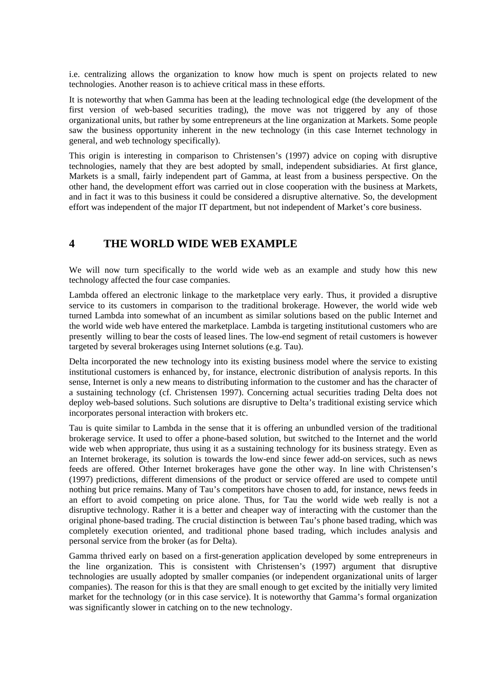i.e. centralizing allows the organization to know how much is spent on projects related to new technologies. Another reason is to achieve critical mass in these efforts.

It is noteworthy that when Gamma has been at the leading technological edge (the development of the first version of web-based securities trading), the move was not triggered by any of those organizational units, but rather by some entrepreneurs at the line organization at Markets. Some people saw the business opportunity inherent in the new technology (in this case Internet technology in general, and web technology specifically).

This origin is interesting in comparison to Christensen's (1997) advice on coping with disruptive technologies, namely that they are best adopted by small, independent subsidiaries. At first glance, Markets is a small, fairly independent part of Gamma, at least from a business perspective. On the other hand, the development effort was carried out in close cooperation with the business at Markets, and in fact it was to this business it could be considered a disruptive alternative. So, the development effort was independent of the major IT department, but not independent of Market's core business.

### **4 THE WORLD WIDE WEB EXAMPLE**

We will now turn specifically to the world wide web as an example and study how this new technology affected the four case companies.

Lambda offered an electronic linkage to the marketplace very early. Thus, it provided a disruptive service to its customers in comparison to the traditional brokerage. However, the world wide web turned Lambda into somewhat of an incumbent as similar solutions based on the public Internet and the world wide web have entered the marketplace. Lambda is targeting institutional customers who are presently willing to bear the costs of leased lines. The low-end segment of retail customers is however targeted by several brokerages using Internet solutions (e.g. Tau).

Delta incorporated the new technology into its existing business model where the service to existing institutional customers is enhanced by, for instance, electronic distribution of analysis reports. In this sense, Internet is only a new means to distributing information to the customer and has the character of a sustaining technology (cf. Christensen 1997). Concerning actual securities trading Delta does not deploy web-based solutions. Such solutions are disruptive to Delta's traditional existing service which incorporates personal interaction with brokers etc.

Tau is quite similar to Lambda in the sense that it is offering an unbundled version of the traditional brokerage service. It used to offer a phone-based solution, but switched to the Internet and the world wide web when appropriate, thus using it as a sustaining technology for its business strategy. Even as an Internet brokerage, its solution is towards the low-end since fewer add-on services, such as news feeds are offered. Other Internet brokerages have gone the other way. In line with Christensen's (1997) predictions, different dimensions of the product or service offered are used to compete until nothing but price remains. Many of Tau's competitors have chosen to add, for instance, news feeds in an effort to avoid competing on price alone. Thus, for Tau the world wide web really is not a disruptive technology. Rather it is a better and cheaper way of interacting with the customer than the original phone-based trading. The crucial distinction is between Tau's phone based trading, which was completely execution oriented, and traditional phone based trading, which includes analysis and personal service from the broker (as for Delta).

Gamma thrived early on based on a first-generation application developed by some entrepreneurs in the line organization. This is consistent with Christensen's (1997) argument that disruptive technologies are usually adopted by smaller companies (or independent organizational units of larger companies). The reason for this is that they are small enough to get excited by the initially very limited market for the technology (or in this case service). It is noteworthy that Gamma's formal organization was significantly slower in catching on to the new technology.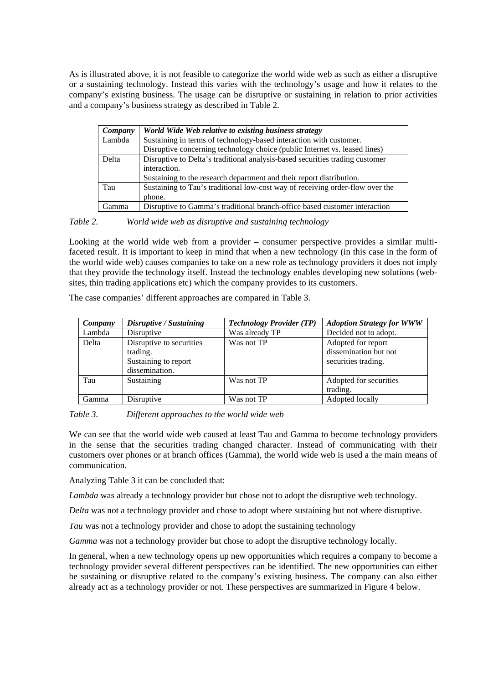As is illustrated above, it is not feasible to categorize the world wide web as such as either a disruptive or a sustaining technology. Instead this varies with the technology's usage and how it relates to the company's existing business. The usage can be disruptive or sustaining in relation to prior activities and a company's business strategy as described in Table 2.

| Company | World Wide Web relative to existing business strategy                         |
|---------|-------------------------------------------------------------------------------|
| Lambda  | Sustaining in terms of technology-based interaction with customer.            |
|         | Disruptive concerning technology choice (public Internet vs. leased lines)    |
| Delta   | Disruptive to Delta's traditional analysis-based securities trading customer  |
|         | interaction.                                                                  |
|         | Sustaining to the research department and their report distribution.          |
| Tau     | Sustaining to Tau's traditional low-cost way of receiving order-flow over the |
|         | phone.                                                                        |
| Gamma   | Disruptive to Gamma's traditional branch-office based customer interaction    |

*Table 2. World wide web as disruptive and sustaining technology* 

Looking at the world wide web from a provider – consumer perspective provides a similar multifaceted result. It is important to keep in mind that when a new technology (in this case in the form of the world wide web) causes companies to take on a new role as technology providers it does not imply that they provide the technology itself. Instead the technology enables developing new solutions (websites, thin trading applications etc) which the company provides to its customers.

The case companies' different approaches are compared in Table 3.

| Company | Disruptive / Sustaining                                                        | <b>Technology Provider (TP)</b> | <b>Adoption Strategy for WWW</b>                                   |
|---------|--------------------------------------------------------------------------------|---------------------------------|--------------------------------------------------------------------|
| Lambda  | Disruptive                                                                     | Was already TP                  | Decided not to adopt.                                              |
| Delta   | Disruptive to securities<br>trading.<br>Sustaining to report<br>dissemination. | Was not TP                      | Adopted for report<br>dissemination but not<br>securities trading. |
| Tau     | Sustaining                                                                     | Was not TP                      | Adopted for securities<br>trading.                                 |
| Gamma   | Disruptive                                                                     | Was not TP                      | Adopted locally                                                    |

*Table 3. Different approaches to the world wide web* 

We can see that the world wide web caused at least Tau and Gamma to become technology providers in the sense that the securities trading changed character. Instead of communicating with their customers over phones or at branch offices (Gamma), the world wide web is used a the main means of communication.

Analyzing Table 3 it can be concluded that:

*Lambda* was already a technology provider but chose not to adopt the disruptive web technology.

*Delta* was not a technology provider and chose to adopt where sustaining but not where disruptive.

*Tau* was not a technology provider and chose to adopt the sustaining technology

*Gamma* was not a technology provider but chose to adopt the disruptive technology locally.

In general, when a new technology opens up new opportunities which requires a company to become a technology provider several different perspectives can be identified. The new opportunities can either be sustaining or disruptive related to the company's existing business. The company can also either already act as a technology provider or not. These perspectives are summarized in Figure 4 below.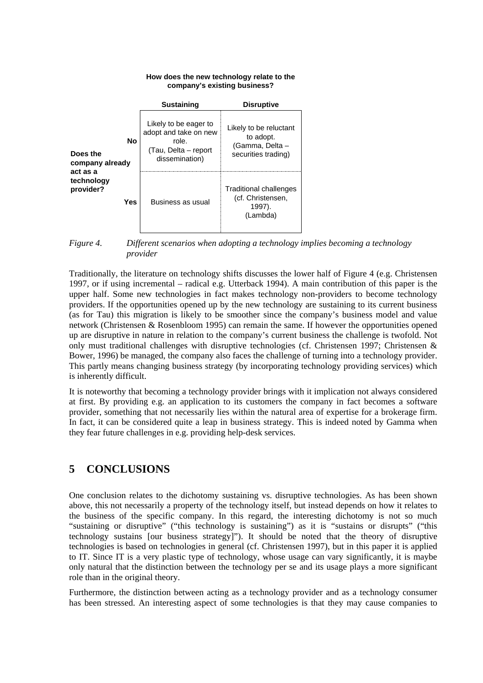#### Likely to be reluctant to adopt. (Gamma, Delta – securities trading) Likely to be eager to adopt and take on new role. (Tau, Delta – report dissemination) Traditional challenges (cf. Christensen, 1997). (Lambda) Business as usual **Sustaining Disruptive No Yes company's existing business? Does the company already act as a technology provider?**

*Figure 4. Different scenarios when adopting a technology implies becoming a technology* 

**How does the new technology relate to the** 

*provider* 

Traditionally, the literature on technology shifts discusses the lower half of Figure 4 (e.g. Christensen 1997, or if using incremental – radical e.g. Utterback 1994). A main contribution of this paper is the upper half. Some new technologies in fact makes technology non-providers to become technology providers. If the opportunities opened up by the new technology are sustaining to its current business (as for Tau) this migration is likely to be smoother since the company's business model and value network (Christensen & Rosenbloom 1995) can remain the same. If however the opportunities opened up are disruptive in nature in relation to the company's current business the challenge is twofold. Not only must traditional challenges with disruptive technologies (cf. Christensen 1997; Christensen & Bower, 1996) be managed, the company also faces the challenge of turning into a technology provider. This partly means changing business strategy (by incorporating technology providing services) which is inherently difficult.

It is noteworthy that becoming a technology provider brings with it implication not always considered at first. By providing e.g. an application to its customers the company in fact becomes a software provider, something that not necessarily lies within the natural area of expertise for a brokerage firm. In fact, it can be considered quite a leap in business strategy. This is indeed noted by Gamma when they fear future challenges in e.g. providing help-desk services.

### **5 CONCLUSIONS**

One conclusion relates to the dichotomy sustaining vs. disruptive technologies. As has been shown above, this not necessarily a property of the technology itself, but instead depends on how it relates to the business of the specific company. In this regard, the interesting dichotomy is not so much "sustaining or disruptive" ("this technology is sustaining") as it is "sustains or disrupts" ("this technology sustains [our business strategy]"). It should be noted that the theory of disruptive technologies is based on technologies in general (cf. Christensen 1997), but in this paper it is applied to IT. Since IT is a very plastic type of technology, whose usage can vary significantly, it is maybe only natural that the distinction between the technology per se and its usage plays a more significant role than in the original theory.

Furthermore, the distinction between acting as a technology provider and as a technology consumer has been stressed. An interesting aspect of some technologies is that they may cause companies to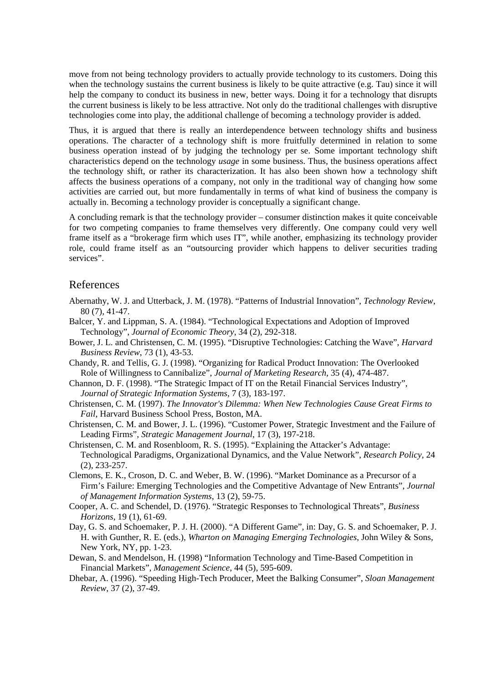move from not being technology providers to actually provide technology to its customers. Doing this when the technology sustains the current business is likely to be quite attractive (e.g. Tau) since it will help the company to conduct its business in new, better ways. Doing it for a technology that disrupts the current business is likely to be less attractive. Not only do the traditional challenges with disruptive technologies come into play, the additional challenge of becoming a technology provider is added.

Thus, it is argued that there is really an interdependence between technology shifts and business operations. The character of a technology shift is more fruitfully determined in relation to some business operation instead of by judging the technology per se. Some important technology shift characteristics depend on the technology *usage* in some business. Thus, the business operations affect the technology shift, or rather its characterization. It has also been shown how a technology shift affects the business operations of a company, not only in the traditional way of changing how some activities are carried out, but more fundamentally in terms of what kind of business the company is actually in. Becoming a technology provider is conceptually a significant change.

A concluding remark is that the technology provider – consumer distinction makes it quite conceivable for two competing companies to frame themselves very differently. One company could very well frame itself as a "brokerage firm which uses IT", while another, emphasizing its technology provider role, could frame itself as an "outsourcing provider which happens to deliver securities trading services".

#### References

- Abernathy, W. J. and Utterback, J. M. (1978). "Patterns of Industrial Innovation", *Technology Review*, 80 (7), 41-47.
- Balcer, Y. and Lippman, S. A. (1984). "Technological Expectations and Adoption of Improved Technology", *Journal of Economic Theory*, 34 (2), 292-318.
- Bower, J. L. and Christensen, C. M. (1995). "Disruptive Technologies: Catching the Wave", *Harvard Business Review*, 73 (1), 43-53.
- Chandy, R. and Tellis, G. J. (1998). "Organizing for Radical Product Innovation: The Overlooked Role of Willingness to Cannibalize", *Journal of Marketing Research*, 35 (4), 474-487.
- Channon, D. F. (1998). "The Strategic Impact of IT on the Retail Financial Services Industry", *Journal of Strategic Information Systems*, 7 (3), 183-197.
- Christensen, C. M. (1997). *The Innovator's Dilemma: When New Technologies Cause Great Firms to Fail*, Harvard Business School Press, Boston, MA.
- Christensen, C. M. and Bower, J. L. (1996). "Customer Power, Strategic Investment and the Failure of Leading Firms", *Strategic Management Journal*, 17 (3), 197-218.
- Christensen, C. M. and Rosenbloom, R. S. (1995). "Explaining the Attacker's Advantage: Technological Paradigms, Organizational Dynamics, and the Value Network", *Research Policy*, 24 (2), 233-257.
- Clemons, E. K., Croson, D. C. and Weber, B. W. (1996). "Market Dominance as a Precursor of a Firm's Failure: Emerging Technologies and the Competitive Advantage of New Entrants", *Journal of Management Information Systems*, 13 (2), 59-75.
- Cooper, A. C. and Schendel, D. (1976). "Strategic Responses to Technological Threats", *Business Horizons*, 19 (1), 61-69.
- Day, G. S. and Schoemaker, P. J. H. (2000). "A Different Game", in: Day, G. S. and Schoemaker, P. J. H. with Gunther, R. E. (eds.), *Wharton on Managing Emerging Technologies*, John Wiley & Sons, New York, NY, pp. 1-23.
- Dewan, S. and Mendelson, H. (1998) "Information Technology and Time-Based Competition in Financial Markets", *Management Science*, 44 (5), 595-609.
- Dhebar, A. (1996). "Speeding High-Tech Producer, Meet the Balking Consumer", *Sloan Management Review*, 37 (2), 37-49.